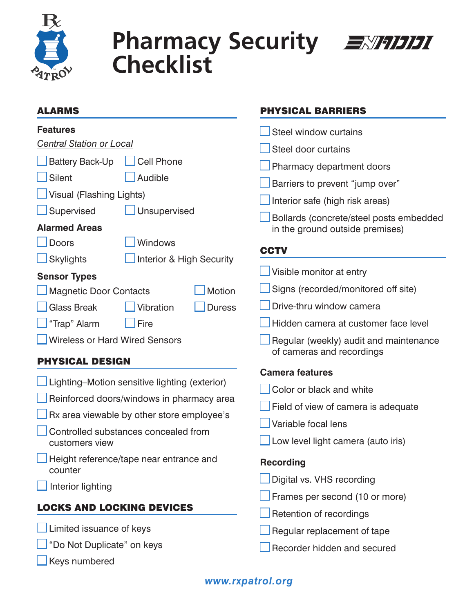

# **Pharmacy Security** EXTEDI **Checklist**



## Alarms

#### **Features**

*Central Station or Local*

| Battery Back-Up | $\Box$ Cell Pho |
|-----------------|-----------------|
| Silent          | $\Box$ Audible  |

Visual (Flashing Lights)

| Supervised | $\Box$ Unsupervised |
|------------|---------------------|
|------------|---------------------|

### **Alarmed Areas**

Doors **N** Windows

Phone

Skylights **Interior & High Security** 

# **Sensor Types**

| Magnetic Door Contacts          |  | Motion |
|---------------------------------|--|--------|
| Glass Break Vibration Duress    |  |        |
| $\Box$ "Trap" Alarm $\Box$ Fire |  |        |
| Wireless or Hard Wired Sensors  |  |        |

# PHYSICAL DESIGN

| Lighting–Motion sensitive lighting (exterior)          |
|--------------------------------------------------------|
| Reinforced doors/windows in pharmacy area              |
| $\Box$ Rx area viewable by other store employee's      |
| Controlled substances concealed from<br>customers view |
| Height reference/tape near entrance and<br>counter     |
| $\Box$ Interior lighting                               |
| <b>LOCKS AND LOCKING DEVICES</b>                       |
| $\Box$ Limited issuance of keys                        |
| Do Not Duplicate" on keys                              |

Keys numbered

# PHYSICAL BARRIERS

- Steel window curtains Steel door curtains Pharmacy department doors Barriers to prevent "jump over" Interior safe (high risk areas) n Bollards (concrete/steel posts embedded in the ground outside premises) **CCTV**  $\Box$  Visible monitor at entry Signs (recorded/monitored off site) Drive-thru window camera
- Hidden camera at customer face level
- Regular (weekly) audit and maintenance of cameras and recordings

# **Camera features**

- Color or black and white
- $\Box$  Field of view of camera is adequate
- Variable focal lens
- $\Box$  Low level light camera (auto iris)

# **Recording**

- $\Box$  Digital vs. VHS recording
- $\Box$  Frames per second (10 or more)
- $\Box$  Retention of recordings
- $\Box$  Regular replacement of tape
- Recorder hidden and secured

# *www.rxpatrol.org*